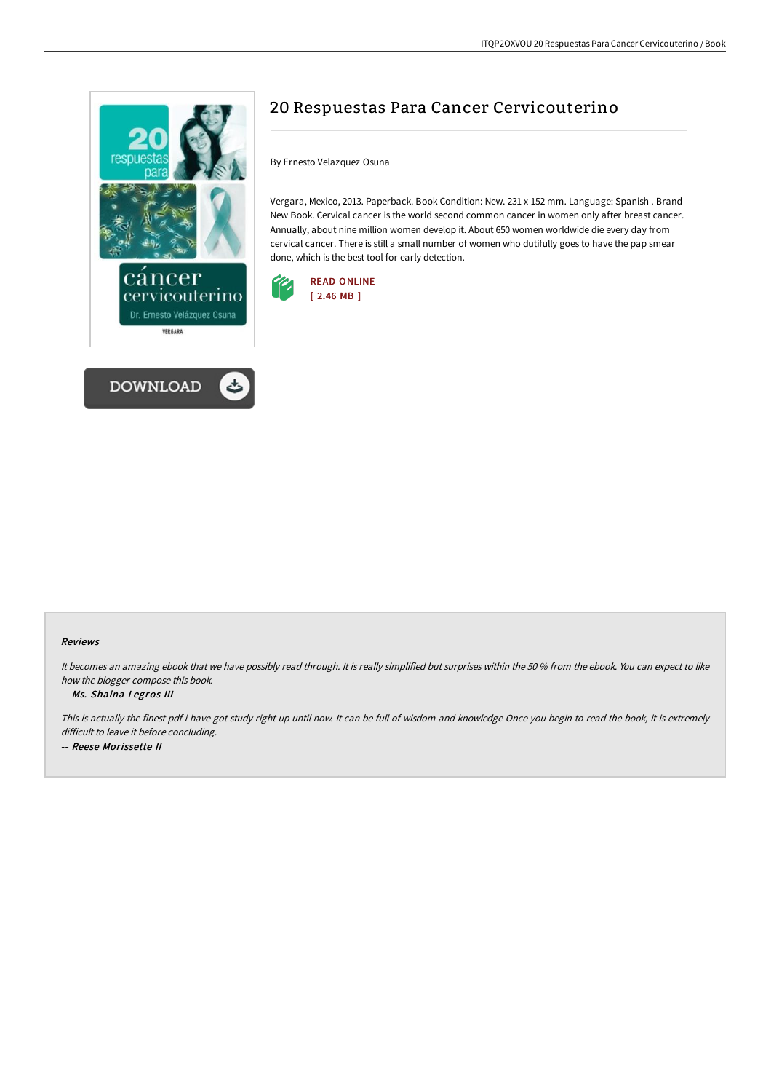



# 20 Respuestas Para Cancer Cervicouterino

By Ernesto Velazquez Osuna

Vergara, Mexico, 2013. Paperback. Book Condition: New. 231 x 152 mm. Language: Spanish . Brand New Book. Cervical cancer is the world second common cancer in women only after breast cancer. Annually, about nine million women develop it. About 650 women worldwide die every day from cervical cancer. There is still a small number of women who dutifully goes to have the pap smear done, which is the best tool for early detection.



#### Reviews

It becomes an amazing ebook that we have possibly read through. It is really simplified but surprises within the <sup>50</sup> % from the ebook. You can expect to like how the blogger compose this book.

#### -- Ms. Shaina Legros III

This is actually the finest pdf i have got study right up until now. It can be full of wisdom and knowledge Once you begin to read the book, it is extremely difficult to leave it before concluding. -- Reese Morissette II